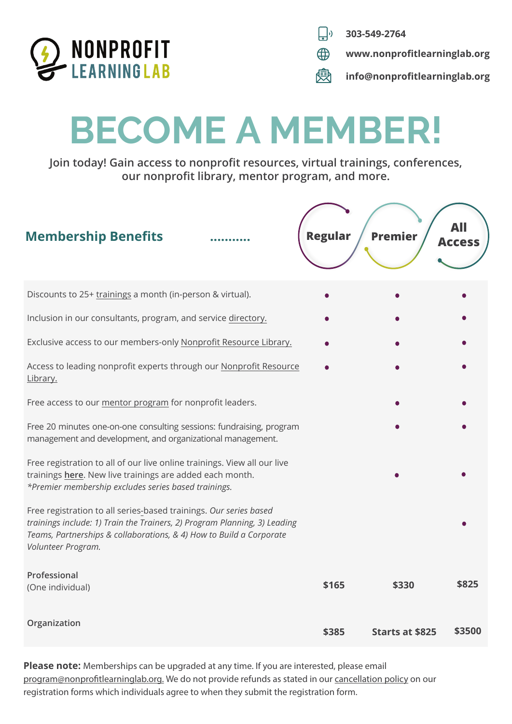

- $\Box$ **303-549-2764**
- $\bigoplus$ **www.nonprofitlearninglab.org**
- **info@nonprofitlearninglab.org**

# **BECOME A MEMBER!**

**Join today! Gain access to nonprofit resources, virtual trainings, conferences, our nonprofit library, mentor program, and more.**

| <b>Membership Benefits</b>                                                                                                                                                                                                                  | <b>Regular</b> | <b>Premier</b>         | <b>Access</b> |
|---------------------------------------------------------------------------------------------------------------------------------------------------------------------------------------------------------------------------------------------|----------------|------------------------|---------------|
| Discounts to 25+ trainings a month (in-person & virtual).                                                                                                                                                                                   |                |                        |               |
| Inclusion in our consultants, program, and service directory.                                                                                                                                                                               |                |                        |               |
| Exclusive access to our members-only Nonprofit Resource Library.                                                                                                                                                                            |                |                        |               |
| Access to leading nonprofit experts through our Nonprofit Resource<br>Library.                                                                                                                                                              |                |                        |               |
| Free access to our mentor program for nonprofit leaders.                                                                                                                                                                                    |                |                        |               |
| Free 20 minutes one-on-one consulting sessions: fundraising, program<br>management and development, and organizational management.                                                                                                          |                |                        |               |
| Free registration to all of our live online trainings. View all our live<br>trainings here. New live trainings are added each month.<br>*Premier membership excludes series based trainings.                                                |                |                        |               |
| Free registration to all series-based trainings. Our series based<br>trainings include: 1) Train the Trainers, 2) Program Planning, 3) Leading<br>Teams, Partnerships & collaborations, & 4) How to Build a Corporate<br>Volunteer Program. |                |                        |               |
| Professional<br>(One individual)                                                                                                                                                                                                            | \$165          | \$330                  | \$825         |
| Organization                                                                                                                                                                                                                                | \$385          | <b>Starts at \$825</b> | \$3500        |

**Please note:** Memberships can be upgraded at any time. If you are interested, please email program@nonprofitlearninglab.org. We do not provide refunds as stated in our [cancellation policy](https://www.nonprofitlearninglab.org/cancellationpolicy) on our registration forms which individuals agree to when they submit the registration form.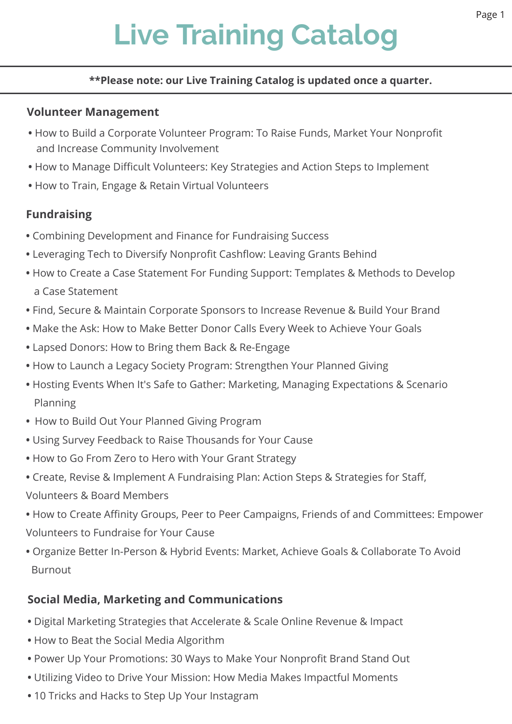# **Live Training Catalog**

#### **\*\*Please note: our Live Training Catalog is updated once a quarter.**

#### **Volunteer Management**

- How to Build a Corporate Volunteer Program: To Raise Funds, Market Your Nonprofit and Increase Community Involvement
- **•** How to Manage Difficult Volunteers: Key Strategies and Action Steps to Implement
- How to Train, Engage & Retain Virtual Volunteers

# **Fundraising**

- Combining Development and Finance for Fundraising Success
- Leveraging Tech to Diversify Nonprofit Cashflow: Leaving Grants Behind
- How to Create a Case Statement For Funding Support: Templates & Methods to Develop a Case Statement
- Find, Secure & Maintain Corporate Sponsors to Increase Revenue & Build Your Brand
- Make the Ask: How to Make Better Donor Calls Every Week to Achieve Your Goals
- **•** Lapsed Donors: How to Bring them Back & Re-Engage
- How to Launch a Legacy Society Program: Strengthen Your Planned Giving
- Hosting Events When It's Safe to Gather: Marketing, Managing Expectations & Scenario Planning
- **•** How to Build Out Your Planned Giving Program
- Using Survey Feedback to Raise Thousands for Your Cause
- How to Go From Zero to Hero with Your Grant Strategy
- Create, Revise & Implement A Fundraising Plan: Action Steps & Strategies for Staff,
- Volunteers & Board Members
- How to Create Affinity Groups, Peer to Peer Campaigns, Friends of and Committees: Empower Volunteers to Fundraise for Your Cause
- Organize Better In-Person & Hybrid Events: Market, Achieve Goals & Collaborate To Avoid Burnout

# **Social Media, Marketing and Communications**

- Digital Marketing Strategies that Accelerate & Scale Online Revenue & Impact
- How to Beat the Social Media Algorithm
- Power Up Your Promotions: 30 Ways to Make Your Nonprofit Brand Stand Out
- Utilizing Video to Drive Your Mission: How Media Makes Impactful Moments
- 10 Tricks and Hacks to Step Up Your Instagram